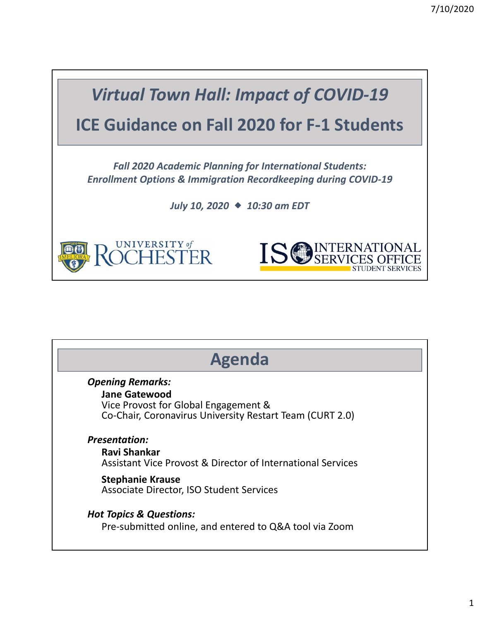

| <b>Agenda</b> |                                                             |  |  |
|---------------|-------------------------------------------------------------|--|--|
|               | <b>Opening Remarks:</b>                                     |  |  |
|               | <b>Jane Gatewood</b>                                        |  |  |
|               | Vice Provost for Global Engagement &                        |  |  |
|               | Co-Chair, Coronavirus University Restart Team (CURT 2.0)    |  |  |
|               | <b>Presentation:</b>                                        |  |  |
|               | Ravi Shankar                                                |  |  |
|               | Assistant Vice Provost & Director of International Services |  |  |
|               | <b>Stephanie Krause</b>                                     |  |  |
|               | Associate Director, ISO Student Services                    |  |  |
|               | <b>Hot Topics &amp; Questions:</b>                          |  |  |
|               | Pre-submitted online, and entered to Q&A tool via Zoom      |  |  |
|               |                                                             |  |  |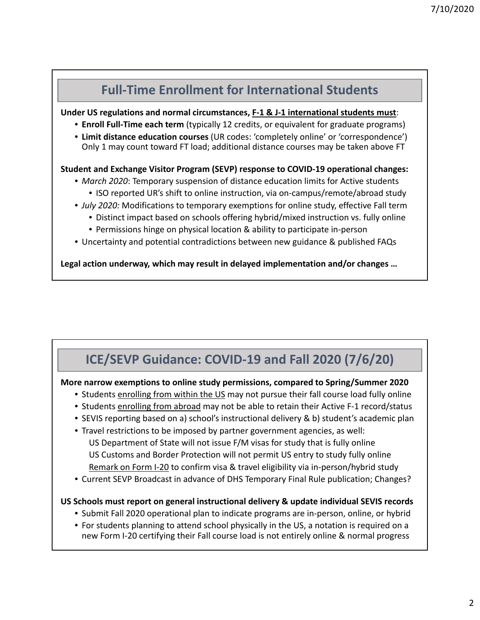### **Full‐Time Enrollment for International Students Under US regulations and normal circumstances, F‐1 & J‐1 international students must**: • **Enroll Full‐Time each term** (typically 12 credits, or equivalent for graduate programs) • **Limit distance education courses** (UR codes: 'completely online' or 'correspondence') Only 1 may count toward FT load; additional distance courses may be taken above FT **Student and Exchange Visitor Program (SEVP) response to COVID‐19 operational changes:** • *March 2020*: Temporary suspension of distance education limits for Active students • ISO reported UR's shift to online instruction, via on-campus/remote/abroad study • *July 2020:* Modifications to temporary exemptions for online study, effective Fall term • Distinct impact based on schools offering hybrid/mixed instruction vs. fully online • Permissions hinge on physical location & ability to participate in‐person • Uncertainty and potential contradictions between new guidance & published FAQs

**Legal action underway, which may result in delayed implementation and/or changes …**

# **ICE/SEVP Guidance: COVID‐19 and Fall 2020 (7/6/20)**

### **More narrow exemptions to online study permissions, compared to Spring/Summer 2020**

- Students enrolling from within the US may not pursue their fall course load fully online
- Students enrolling from abroad may not be able to retain their Active F‐1 record/status
- SEVIS reporting based on a) school's instructional delivery & b) student's academic plan
- Travel restrictions to be imposed by partner government agencies, as well: US Department of State will not issue F/M visas for study that is fully online US Customs and Border Protection will not permit US entry to study fully online Remark on Form I‐20 to confirm visa & travel eligibility via in‐person/hybrid study
- Current SEVP Broadcast in advance of DHS Temporary Final Rule publication; Changes?

## **US Schools must report on general instructional delivery & update individual SEVIS records**

- Submit Fall 2020 operational plan to indicate programs are in‐person, online, or hybrid
- For students planning to attend school physically in the US, a notation is required on a new Form I‐20 certifying their Fall course load is not entirely online & normal progress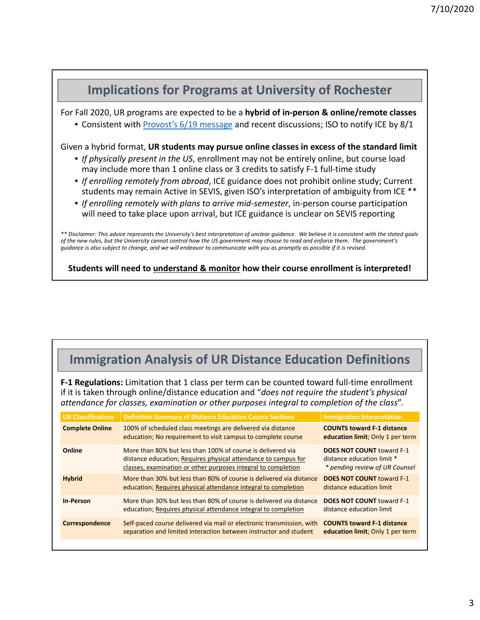

**Students will need to understand & monitor how their course enrollment is interpreted!**

# **Immigration Analysis of UR Distance Education Definitions**

**F‐1 Regulations:** Limitation that 1 class per term can be counted toward full‐time enrollment if it is taken through online/distance education and "*does not require the student's physical attendance for classes, examination or other purposes integral to completion of the class*".

| <b>UR Classifications</b> | <b>Definition Summary of Distance Education Course Sections</b>                                                                                                                                | <b>Immigration Interpretation</b>                                                                |
|---------------------------|------------------------------------------------------------------------------------------------------------------------------------------------------------------------------------------------|--------------------------------------------------------------------------------------------------|
| <b>Complete Online</b>    | 100% of scheduled class meetings are delivered via distance<br>education; No requirement to visit campus to complete course                                                                    | <b>COUNTS toward F-1 distance</b><br>education limit; Only 1 per term                            |
| Online                    | More than 80% but less than 100% of course is delivered via<br>distance education; Requires physical attendance to campus for<br>classes, examination or other purposes integral to completion | <b>DOES NOT COUNT toward F-1</b><br>distance education limit *<br>* pending review of UR Counsel |
| <b>Hybrid</b>             | More than 30% but less than 80% of course is delivered via distance<br>education; Requires physical attendance integral to completion                                                          | <b>DOES NOT COUNT toward F-1</b><br>distance education limit                                     |
| <b>In-Person</b>          | More than 30% but less than 80% of course is delivered via distance<br>education; Requires physical attendance integral to completion                                                          | <b>DOES NOT COUNT toward F-1</b><br>distance education limit                                     |
| Correspondence            | Self-paced course delivered via mail or electronic transmission, with<br>separation and limited interaction between instructor and student                                                     | <b>COUNTS toward F-1 distance</b><br>education limit; Only 1 per term                            |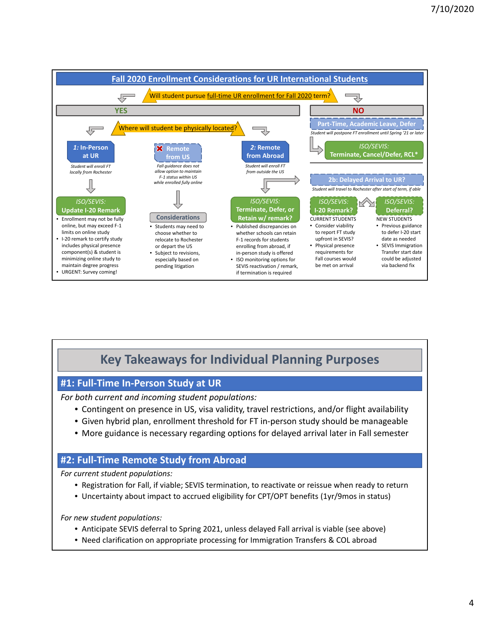

## **Key Takeaways for Individual Planning Purposes**

#### **#1: Full‐Time In‐Person Study at UR**

*For both current and incoming student populations:*

- Contingent on presence in US, visa validity, travel restrictions, and/or flight availability
- Given hybrid plan, enrollment threshold for FT in‐person study should be manageable
- More guidance is necessary regarding options for delayed arrival later in Fall semester

#### **#2: Full‐Time Remote Study from Abroad**

*For current student populations:*

- Registration for Fall, if viable; SEVIS termination, to reactivate or reissue when ready to return
- Uncertainty about impact to accrued eligibility for CPT/OPT benefits (1yr/9mos in status)

*For new student populations:*

- Anticipate SEVIS deferral to Spring 2021, unless delayed Fall arrival is viable (see above)
- Need clarification on appropriate processing for Immigration Transfers & COL abroad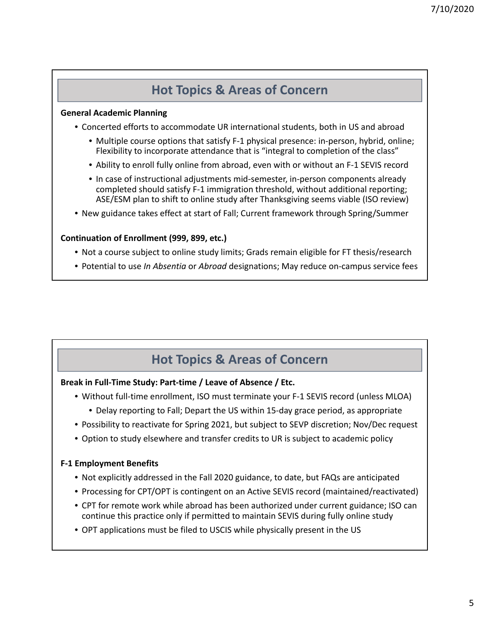### **Hot Topics & Areas of Concern**

#### **General Academic Planning**

- Concerted efforts to accommodate UR international students, both in US and abroad
	- Multiple course options that satisfy F-1 physical presence: in-person, hybrid, online; Flexibility to incorporate attendance that is "integral to completion of the class"
	- Ability to enroll fully online from abroad, even with or without an F‐1 SEVIS record
	- In case of instructional adjustments mid-semester, in-person components already completed should satisfy F‐1 immigration threshold, without additional reporting; ASE/ESM plan to shift to online study after Thanksgiving seems viable (ISO review)
- New guidance takes effect at start of Fall; Current framework through Spring/Summer

#### **Continuation of Enrollment (999, 899, etc.)**

- Not a course subject to online study limits; Grads remain eligible for FT thesis/research
- Potential to use *In Absentia* or *Abroad* designations; May reduce on‐campus service fees

### **Hot Topics & Areas of Concern**

#### **Break in Full‐Time Study: Part‐time / Leave of Absence / Etc.**

- Without full‐time enrollment, ISO must terminate your F‐1 SEVIS record (unless MLOA)
	- Delay reporting to Fall; Depart the US within 15‐day grace period, as appropriate
- Possibility to reactivate for Spring 2021, but subject to SEVP discretion; Nov/Dec request
- Option to study elsewhere and transfer credits to UR is subject to academic policy

#### **F‐1 Employment Benefits**

- Not explicitly addressed in the Fall 2020 guidance, to date, but FAQs are anticipated
- Processing for CPT/OPT is contingent on an Active SEVIS record (maintained/reactivated)
- CPT for remote work while abroad has been authorized under current guidance; ISO can continue this practice only if permitted to maintain SEVIS during fully online study
- OPT applications must be filed to USCIS while physically present in the US